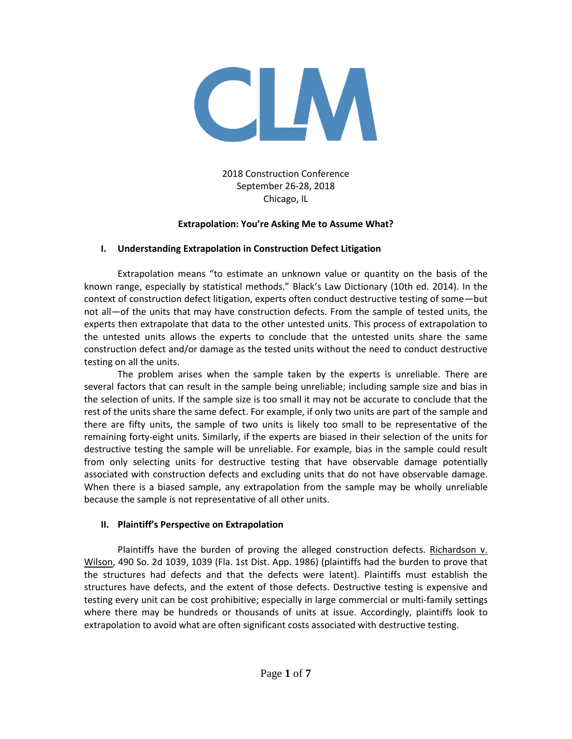

2018 Construction Conference September 26-28, 2018 Chicago, IL

#### **Extrapolation: You're Asking Me to Assume What?**

#### **I. Understanding Extrapolation in Construction Defect Litigation**

Extrapolation means "to estimate an unknown value or quantity on the basis of the known range, especially by statistical methods." Black's Law Dictionary (10th ed. 2014). In the context of construction defect litigation, experts often conduct destructive testing of some—but not all—of the units that may have construction defects. From the sample of tested units, the experts then extrapolate that data to the other untested units. This process of extrapolation to the untested units allows the experts to conclude that the untested units share the same construction defect and/or damage as the tested units without the need to conduct destructive testing on all the units.

The problem arises when the sample taken by the experts is unreliable. There are several factors that can result in the sample being unreliable; including sample size and bias in the selection of units. If the sample size is too small it may not be accurate to conclude that the rest of the units share the same defect. For example, if only two units are part of the sample and there are fifty units, the sample of two units is likely too small to be representative of the remaining forty-eight units. Similarly, if the experts are biased in their selection of the units for destructive testing the sample will be unreliable. For example, bias in the sample could result from only selecting units for destructive testing that have observable damage potentially associated with construction defects and excluding units that do not have observable damage. When there is a biased sample, any extrapolation from the sample may be wholly unreliable because the sample is not representative of all other units.

#### **II. Plaintiff's Perspective on Extrapolation**

Plaintiffs have the burden of proving the alleged construction defects. Richardson v. Wilson, 490 So. 2d 1039, 1039 (Fla. 1st Dist. App. 1986) (plaintiffs had the burden to prove that the structures had defects and that the defects were latent). Plaintiffs must establish the structures have defects, and the extent of those defects. Destructive testing is expensive and testing every unit can be cost prohibitive; especially in large commercial or multi-family settings where there may be hundreds or thousands of units at issue. Accordingly, plaintiffs look to extrapolation to avoid what are often significant costs associated with destructive testing.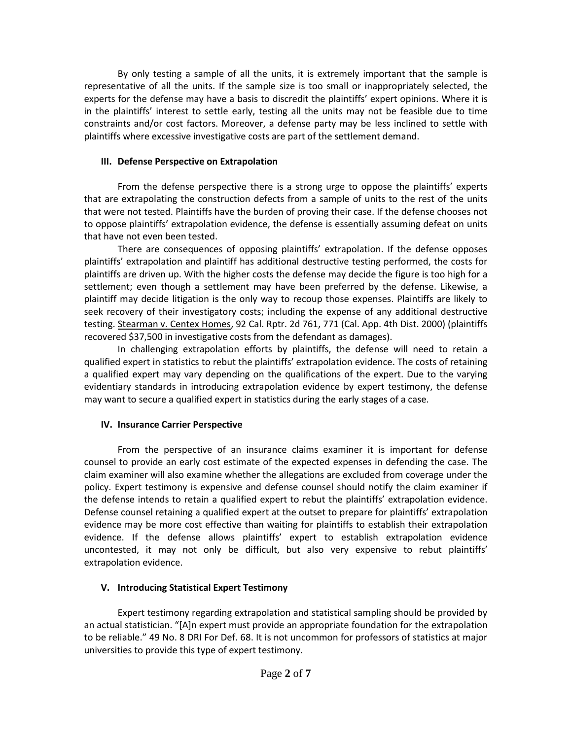By only testing a sample of all the units, it is extremely important that the sample is representative of all the units. If the sample size is too small or inappropriately selected, the experts for the defense may have a basis to discredit the plaintiffs' expert opinions. Where it is in the plaintiffs' interest to settle early, testing all the units may not be feasible due to time constraints and/or cost factors. Moreover, a defense party may be less inclined to settle with plaintiffs where excessive investigative costs are part of the settlement demand.

#### **III. Defense Perspective on Extrapolation**

From the defense perspective there is a strong urge to oppose the plaintiffs' experts that are extrapolating the construction defects from a sample of units to the rest of the units that were not tested. Plaintiffs have the burden of proving their case. If the defense chooses not to oppose plaintiffs' extrapolation evidence, the defense is essentially assuming defeat on units that have not even been tested.

There are consequences of opposing plaintiffs' extrapolation. If the defense opposes plaintiffs' extrapolation and plaintiff has additional destructive testing performed, the costs for plaintiffs are driven up. With the higher costs the defense may decide the figure is too high for a settlement; even though a settlement may have been preferred by the defense. Likewise, a plaintiff may decide litigation is the only way to recoup those expenses. Plaintiffs are likely to seek recovery of their investigatory costs; including the expense of any additional destructive testing. Stearman v. Centex Homes, 92 Cal. Rptr. 2d 761, 771 (Cal. App. 4th Dist. 2000) (plaintiffs recovered \$37,500 in investigative costs from the defendant as damages).

In challenging extrapolation efforts by plaintiffs, the defense will need to retain a qualified expert in statistics to rebut the plaintiffs' extrapolation evidence. The costs of retaining a qualified expert may vary depending on the qualifications of the expert. Due to the varying evidentiary standards in introducing extrapolation evidence by expert testimony, the defense may want to secure a qualified expert in statistics during the early stages of a case.

### **IV. Insurance Carrier Perspective**

From the perspective of an insurance claims examiner it is important for defense counsel to provide an early cost estimate of the expected expenses in defending the case. The claim examiner will also examine whether the allegations are excluded from coverage under the policy. Expert testimony is expensive and defense counsel should notify the claim examiner if the defense intends to retain a qualified expert to rebut the plaintiffs' extrapolation evidence. Defense counsel retaining a qualified expert at the outset to prepare for plaintiffs' extrapolation evidence may be more cost effective than waiting for plaintiffs to establish their extrapolation evidence. If the defense allows plaintiffs' expert to establish extrapolation evidence uncontested, it may not only be difficult, but also very expensive to rebut plaintiffs' extrapolation evidence.

### **V. Introducing Statistical Expert Testimony**

Expert testimony regarding extrapolation and statistical sampling should be provided by an actual statistician. "[A]n expert must provide an appropriate foundation for the extrapolation to be reliable." 49 No. 8 DRI For Def. 68. It is not uncommon for professors of statistics at major universities to provide this type of expert testimony.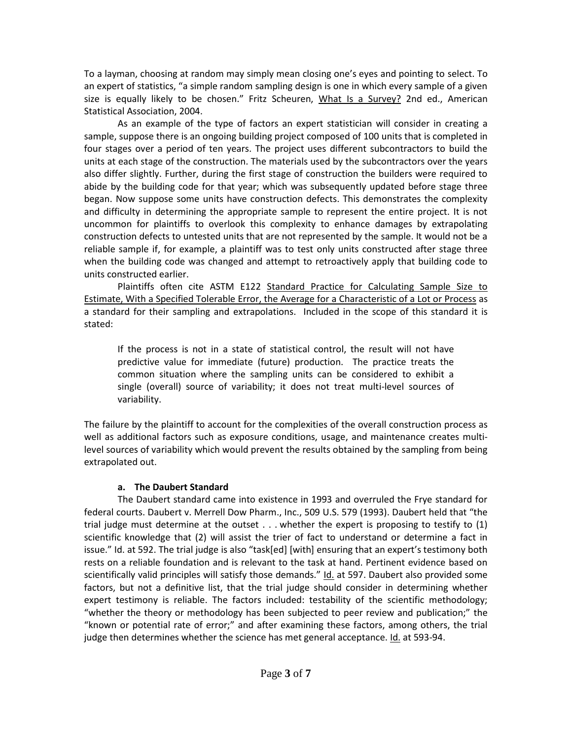To a layman, choosing at random may simply mean closing one's eyes and pointing to select. To an expert of statistics, "a simple random sampling design is one in which every sample of a given size is equally likely to be chosen." Fritz Scheuren, What Is a Survey? 2nd ed., American Statistical Association, 2004.

As an example of the type of factors an expert statistician will consider in creating a sample, suppose there is an ongoing building project composed of 100 units that is completed in four stages over a period of ten years. The project uses different subcontractors to build the units at each stage of the construction. The materials used by the subcontractors over the years also differ slightly. Further, during the first stage of construction the builders were required to abide by the building code for that year; which was subsequently updated before stage three began. Now suppose some units have construction defects. This demonstrates the complexity and difficulty in determining the appropriate sample to represent the entire project. It is not uncommon for plaintiffs to overlook this complexity to enhance damages by extrapolating construction defects to untested units that are not represented by the sample. It would not be a reliable sample if, for example, a plaintiff was to test only units constructed after stage three when the building code was changed and attempt to retroactively apply that building code to units constructed earlier.

Plaintiffs often cite ASTM E122 Standard Practice for Calculating Sample Size to Estimate, With a Specified Tolerable Error, the Average for a Characteristic of a Lot or Process as a standard for their sampling and extrapolations. Included in the scope of this standard it is stated:

If the process is not in a state of statistical control, the result will not have predictive value for immediate (future) production. The practice treats the common situation where the sampling units can be considered to exhibit a single (overall) source of variability; it does not treat multi-level sources of variability.

The failure by the plaintiff to account for the complexities of the overall construction process as well as additional factors such as exposure conditions, usage, and maintenance creates multilevel sources of variability which would prevent the results obtained by the sampling from being extrapolated out.

### **a. The Daubert Standard**

The Daubert standard came into existence in 1993 and overruled the Frye standard for federal courts. Daubert v. Merrell Dow Pharm., Inc., 509 U.S. 579 (1993). Daubert held that "the trial judge must determine at the outset . . . whether the expert is proposing to testify to (1) scientific knowledge that (2) will assist the trier of fact to understand or determine a fact in issue." Id. at 592. The trial judge is also "task[ed] [with] ensuring that an expert's testimony both rests on a reliable foundation and is relevant to the task at hand. Pertinent evidence based on scientifically valid principles will satisfy those demands." Id. at 597. Daubert also provided some factors, but not a definitive list, that the trial judge should consider in determining whether expert testimony is reliable. The factors included: testability of the scientific methodology; "whether the theory or methodology has been subjected to peer review and publication;" the "known or potential rate of error;" and after examining these factors, among others, the trial judge then determines whether the science has met general acceptance. Id. at 593-94.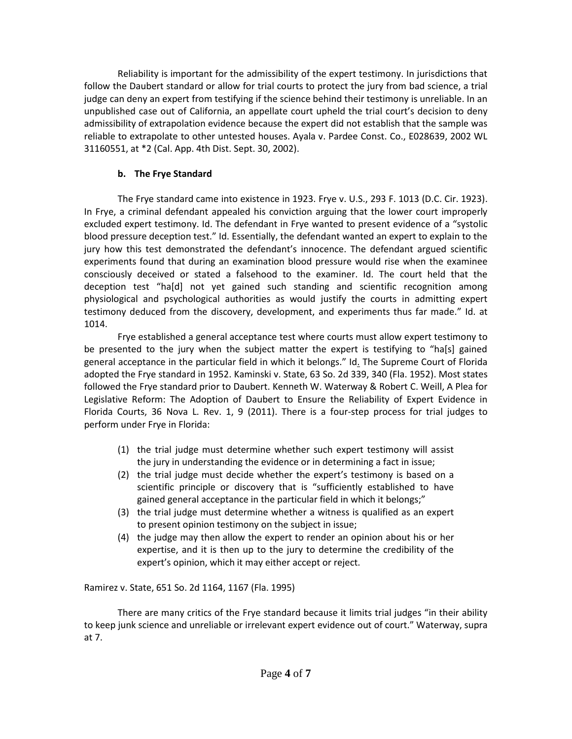Reliability is important for the admissibility of the expert testimony. In jurisdictions that follow the Daubert standard or allow for trial courts to protect the jury from bad science, a trial judge can deny an expert from testifying if the science behind their testimony is unreliable. In an unpublished case out of California, an appellate court upheld the trial court's decision to deny admissibility of extrapolation evidence because the expert did not establish that the sample was reliable to extrapolate to other untested houses. Ayala v. Pardee Const. Co., E028639, 2002 WL 31160551, at \*2 (Cal. App. 4th Dist. Sept. 30, 2002).

### **b. The Frye Standard**

The Frye standard came into existence in 1923. Frye v. U.S., 293 F. 1013 (D.C. Cir. 1923). In Frye, a criminal defendant appealed his conviction arguing that the lower court improperly excluded expert testimony. Id. The defendant in Frye wanted to present evidence of a "systolic blood pressure deception test." Id. Essentially, the defendant wanted an expert to explain to the jury how this test demonstrated the defendant's innocence. The defendant argued scientific experiments found that during an examination blood pressure would rise when the examinee consciously deceived or stated a falsehood to the examiner. Id. The court held that the deception test "ha[d] not yet gained such standing and scientific recognition among physiological and psychological authorities as would justify the courts in admitting expert testimony deduced from the discovery, development, and experiments thus far made." Id. at 1014.

Frye established a general acceptance test where courts must allow expert testimony to be presented to the jury when the subject matter the expert is testifying to "ha[s] gained general acceptance in the particular field in which it belongs." Id. The Supreme Court of Florida adopted the Frye standard in 1952. Kaminski v. State, 63 So. 2d 339, 340 (Fla. 1952). Most states followed the Frye standard prior to Daubert. Kenneth W. Waterway & Robert C. Weill, A Plea for Legislative Reform: The Adoption of Daubert to Ensure the Reliability of Expert Evidence in Florida Courts, 36 Nova L. Rev. 1, 9 (2011). There is a four-step process for trial judges to perform under Frye in Florida:

- (1) the trial judge must determine whether such expert testimony will assist the jury in understanding the evidence or in determining a fact in issue;
- (2) the trial judge must decide whether the expert's testimony is based on a scientific principle or discovery that is "sufficiently established to have gained general acceptance in the particular field in which it belongs;"
- (3) the trial judge must determine whether a witness is qualified as an expert to present opinion testimony on the subject in issue;
- (4) the judge may then allow the expert to render an opinion about his or her expertise, and it is then up to the jury to determine the credibility of the expert's opinion, which it may either accept or reject.

Ramirez v. State, 651 So. 2d 1164, 1167 (Fla. 1995)

There are many critics of the Frye standard because it limits trial judges "in their ability to keep junk science and unreliable or irrelevant expert evidence out of court." Waterway, supra at 7.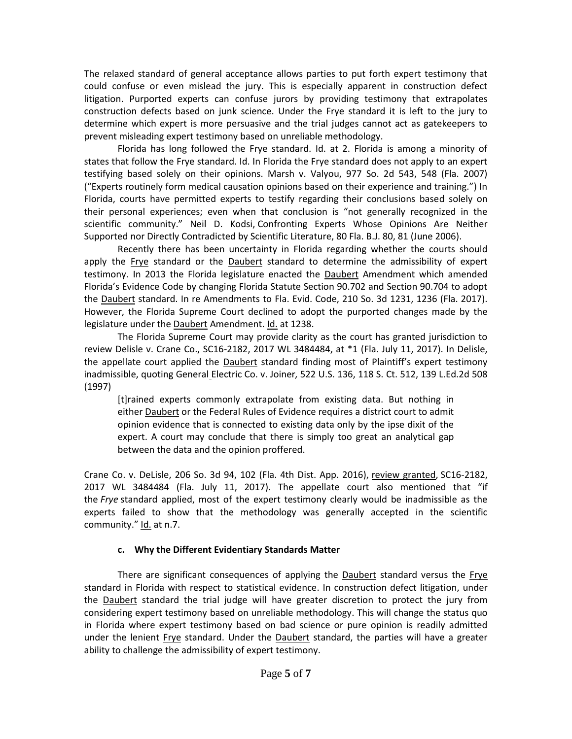The relaxed standard of general acceptance allows parties to put forth expert testimony that could confuse or even mislead the jury. This is especially apparent in construction defect litigation. Purported experts can confuse jurors by providing testimony that extrapolates construction defects based on junk science. Under the Frye standard it is left to the jury to determine which expert is more persuasive and the trial judges cannot act as gatekeepers to prevent misleading expert testimony based on unreliable methodology.

Florida has long followed the Frye standard. Id. at 2. Florida is among a minority of states that follow the Frye standard. Id. In Florida the Frye standard does not apply to an expert testifying based solely on their opinions. Marsh v. Valyou, 977 So. 2d 543, 548 (Fla. 2007) ("Experts routinely form medical causation opinions based on their experience and training.") In Florida, courts have permitted experts to testify regarding their conclusions based solely on their personal experiences; even when that conclusion is "not generally recognized in the scientific community." Neil D. Kodsi, Confronting Experts Whose Opinions Are Neither Supported nor Directly Contradicted by Scientific Literature, 80 Fla. B.J. 80, 81 (June 2006).

Recently there has been uncertainty in Florida regarding whether the courts should apply the Frye standard or the Daubert standard to determine the admissibility of expert testimony. In 2013 the Florida legislature enacted the Daubert Amendment which amended Florida's Evidence Code by changing Florida Statute Section 90.702 and Section 90.704 to adopt the Daubert standard. In re Amendments to Fla. Evid. Code, 210 So. 3d 1231, 1236 (Fla. 2017). However, the Florida Supreme Court declined to adopt the purported changes made by the legislature under the Daubert Amendment. Id. at 1238.

The Florida Supreme Court may provide clarity as the court has granted jurisdiction to review Delisle v. Crane Co., SC16-2182, 2017 WL 3484484, at \*1 (Fla. July 11, 2017). In Delisle, the appellate court applied the Daubert standard finding most of Plaintiff's expert testimony inadmissible, quoting General Electric Co. v. Joiner*,* 522 U.S. 136, 118 S. Ct. 512, 139 L.Ed.2d 508 (1997)

[t]rained experts commonly extrapolate from existing data. But nothing in either Daubert or the Federal Rules of Evidence requires a district court to admit opinion evidence that is connected to existing data only by the ipse dixit of the expert. A court may conclude that there is simply too great an analytical gap between the data and the opinion proffered.

Crane Co. v. DeLisle, 206 So. 3d 94, 102 (Fla. 4th Dist. App. 2016), review granted, SC16-2182, 2017 WL 3484484 (Fla. July 11, 2017). The appellate court also mentioned that "if the *Frye* standard applied, most of the expert testimony clearly would be inadmissible as the experts failed to show that the methodology was generally accepted in the scientific community." Id. at n.7.

## **c. Why the Different Evidentiary Standards Matter**

There are significant consequences of applying the Daubert standard versus the Frye standard in Florida with respect to statistical evidence. In construction defect litigation, under the Daubert standard the trial judge will have greater discretion to protect the jury from considering expert testimony based on unreliable methodology. This will change the status quo in Florida where expert testimony based on bad science or pure opinion is readily admitted under the lenient Frye standard. Under the Daubert standard, the parties will have a greater ability to challenge the admissibility of expert testimony.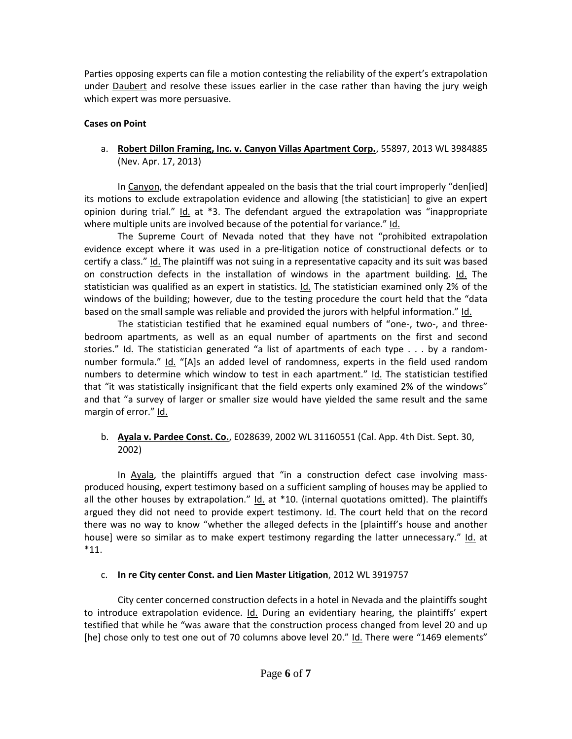Parties opposing experts can file a motion contesting the reliability of the expert's extrapolation under Daubert and resolve these issues earlier in the case rather than having the jury weigh which expert was more persuasive.

## **Cases on Point**

a. **Robert Dillon Framing, Inc. v. Canyon Villas Apartment Corp.**, 55897, 2013 WL 3984885 (Nev. Apr. 17, 2013)

In Canyon, the defendant appealed on the basis that the trial court improperly "den[ied] its motions to exclude extrapolation evidence and allowing [the statistician] to give an expert opinion during trial." Id. at \*3. The defendant argued the extrapolation was "inappropriate where multiple units are involved because of the potential for variance." Id.

The Supreme Court of Nevada noted that they have not "prohibited extrapolation evidence except where it was used in a pre-litigation notice of constructional defects or to certify a class." Id. The plaintiff was not suing in a representative capacity and its suit was based on construction defects in the installation of windows in the apartment building. Id. The statistician was qualified as an expert in statistics. Id. The statistician examined only 2% of the windows of the building; however, due to the testing procedure the court held that the "data based on the small sample was reliable and provided the jurors with helpful information." Id.

The statistician testified that he examined equal numbers of "one-, two-, and threebedroom apartments, as well as an equal number of apartments on the first and second stories." Id. The statistician generated "a list of apartments of each type  $\dots$  by a randomnumber formula." Id. "[A]s an added level of randomness, experts in the field used random numbers to determine which window to test in each apartment." Id. The statistician testified that "it was statistically insignificant that the field experts only examined 2% of the windows" and that "a survey of larger or smaller size would have yielded the same result and the same margin of error." Id.

## b. **Ayala v. Pardee Const. Co.**, E028639, 2002 WL 31160551 (Cal. App. 4th Dist. Sept. 30, 2002)

In Ayala, the plaintiffs argued that "in a construction defect case involving massproduced housing, expert testimony based on a sufficient sampling of houses may be applied to all the other houses by extrapolation."  $\underline{Id}$  at \*10. (internal quotations omitted). The plaintiffs argued they did not need to provide expert testimony. Id. The court held that on the record there was no way to know "whether the alleged defects in the [plaintiff's house and another house] were so similar as to make expert testimony regarding the latter unnecessary." Id. at \*11.

# c. **In re City center Const. and Lien Master Litigation**, 2012 WL 3919757

City center concerned construction defects in a hotel in Nevada and the plaintiffs sought to introduce extrapolation evidence. Id. During an evidentiary hearing, the plaintiffs' expert testified that while he "was aware that the construction process changed from level 20 and up [he] chose only to test one out of 70 columns above level 20." Id. There were "1469 elements"